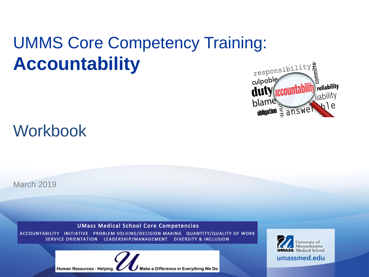# UMMS Core Competency Training: **Accountability**



## Workbook

March 2019

**UMass Medical School Core Competencies** 

ACCOUNTABILITY INITIATIVE PROBLEM SOLVING/DECISION MAKING QUANTITY/QUALITY OF WORK LEADERSHIP/MANAGEMENT **DIVERSITY & INCLUSION SERVICE ORIENTATION** 



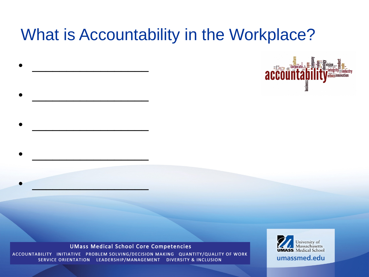## What is Accountability in the Workplace?



### **UMass Medical School Core Competencies**

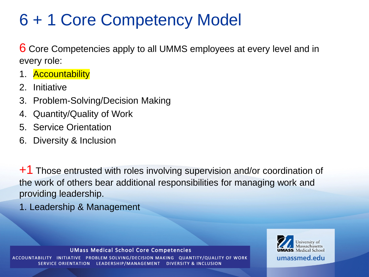## 6 + 1 Core Competency Model

6 Core Competencies apply to all UMMS employees at every level and in every role:

- 1. Accountability
- 2. Initiative
- 3. Problem-Solving/Decision Making
- 4. Quantity/Quality of Work
- 5. Service Orientation
- 6. Diversity & Inclusion

+1 Those entrusted with roles involving supervision and/or coordination of the work of others bear additional responsibilities for managing work and providing leadership.

1. Leadership & Management

**UMass Medical School Core Competencies** 

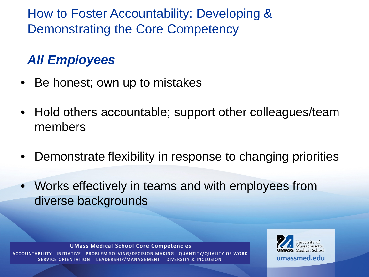How to Foster Accountability: Developing & Demonstrating the Core Competency

## *All Employees*

- Be honest; own up to mistakes
- Hold others accountable; support other colleagues/team members
- Demonstrate flexibility in response to changing priorities
- Works effectively in teams and with employees from diverse backgrounds

**UMass Medical School Core Competencies** 

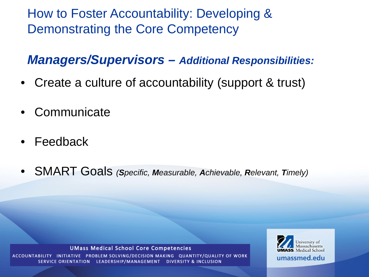How to Foster Accountability: Developing & Demonstrating the Core Competency

### *Managers/Supervisors – Additional Responsibilities:*

- Create a culture of accountability (support & trust)
- Communicate
- Feedback
- SMART Goals *(Specific, Measurable, Achievable, Relevant, Timely)*

#### **UMass Medical School Core Competencies**

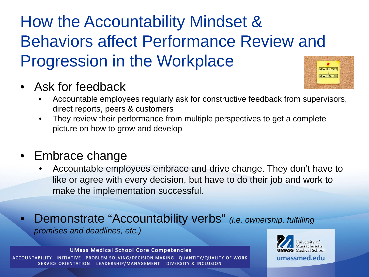# How the Accountability Mindset & Behaviors affect Performance Review and Progression in the Workplace

• Ask for feedback



- Accountable employees regularly ask for constructive feedback from supervisors, direct reports, peers & customers
- They review their performance from multiple perspectives to get a complete picture on how to grow and develop

### • Embrace change

- Accountable employees embrace and drive change. They don't have to like or agree with every decision, but have to do their job and work to make the implementation successful.
- Demonstrate "Accountability verbs" *(i.e. ownership, fulfilling promises and deadlines, etc.)*

### **UMass Medical School Core Competencies**

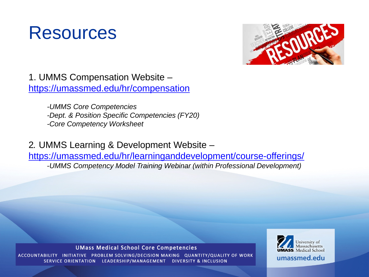## Resources



1. UMMS Compensation Website – <https://umassmed.edu/hr/compensation>

> *-UMMS Core Competencies -Dept. & Position Specific Competencies (FY20) -Core Competency Worksheet*

2*.* UMMS Learning & Development Website –

<https://umassmed.edu/hr/learninganddevelopment/course-offerings/> -*UMMS Competency Model Training Webinar (within Professional Development)*

### **UMass Medical School Core Competencies**

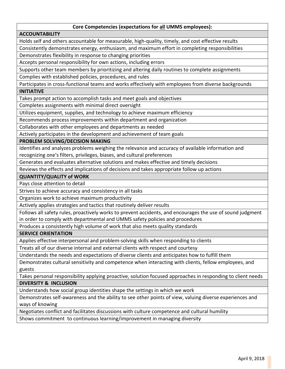### **Core Competencies (expectations for all UMMS employees):**

### **ACCOUNTABILITY**

Holds self and others accountable for measurable, high-quality, timely, and cost effective results

Consistently demonstrates energy, enthusiasm, and maximum effort in completing responsibilities

Demonstrates flexibility in response to changing priorities

Accepts personal responsibility for own actions, including errors

Supports other team members by prioritizing and altering daily routines to complete assignments

Complies with established policies, procedures, and rules

Participates in cross-functional teams and works effectively with employees from diverse backgrounds **INITIATIVE**

Takes prompt action to accomplish tasks and meet goals and objectives

Completes assignments with minimal direct oversight

Utilizes equipment, supplies, and technology to achieve maximum efficiency

Recommends process improvements within department and organization

Collaborates with other employees and departments as needed

Actively participates in the development and achievement of team goals

**PROBLEM SOLVING/DECISION MAKING**

Identifies and analyzes problems weighing the relevance and accuracy of available information and recognizing one's filters, privileges, biases, and cultural preferences

Generates and evaluates alternative solutions and makes effective and timely decisions

Reviews the effects and implications of decisions and takes appropriate follow up actions

**QUANTITY/QUALITY of WORK**

Pays close attention to detail

Strives to achieve accuracy and consistency in all tasks

Organizes work to achieve maximum productivity

Actively applies strategies and tactics that routinely deliver results

Follows all safety rules, proactively works to prevent accidents, and encourages the use of sound judgment in order to comply with departmental and UMMS safety policies and procedures

Produces a consistently high volume of work that also meets quality standards

**SERVICE ORIENTATION**

Applies effective interpersonal and problem-solving skills when responding to clients

Treats all of our diverse internal and external clients with respect and courtesy

Understands the needs and expectations of diverse clients and anticipates how to fulfill them

Demonstrates cultural sensitivity and competence when interacting with clients, fellow employees, and guests

Takes personal responsibility applying proactive, solution focused approaches in responding to client needs **DIVERSITY & INCLUSION**

Understands how social group identities shape the settings in which we work

Demonstrates self-awareness and the ability to see other points of view, valuing diverse experiences and ways of knowing

Negotiates conflict and facilitates discussions with culture competence and cultural humility

Shows commitment to continuous learning/improvement in managing diversity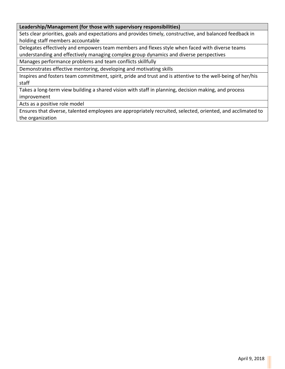### **Leadership/Management (for those with supervisory responsibilities)**

Sets clear priorities, goals and expectations and provides timely, constructive, and balanced feedback in holding staff members accountable

Delegates effectively and empowers team members and flexes style when faced with diverse teams understanding and effectively managing complex group dynamics and diverse perspectives

Manages performance problems and team conflicts skillfully

Demonstrates effective mentoring, developing and motivating skills

Inspires and fosters team commitment, spirit, pride and trust and is attentive to the well-being of her/his staff

Takes a long-term view building a shared vision with staff in planning, decision making, and process improvement

Acts as a positive role model

Ensures that diverse, talented employees are appropriately recruited, selected, oriented, and acclimated to the organization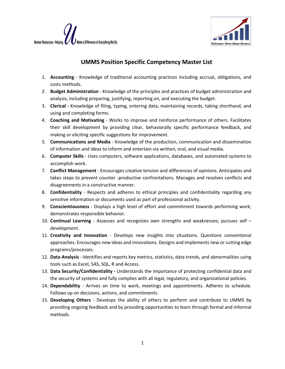



### **UMMS Position Specific Competency Master List**

- 1. **Accounting** Knowledge of traditional accounting practices including accrual, obligations, and costs methods.
- 2. **Budget Administration** Knowledge of the principles and practices of budget administration and analysis; including preparing, justifying, reporting on, and executing the budget.
- 3. **Clerical -** Knowledge of filing, typing, entering data, maintaining records, taking shorthand, and using and completing forms.
- 4. **Coaching and Motivating** Works to improve and reinforce performance of others. Facilitates their skill development by providing clear, behaviorally specific performance feedback, and making or eliciting specific suggestions for improvement.
- 5. **Communications and Media** Knowledge of the production, communication and dissemination of information and ideas to inform and entertain via written, oral, and visual media.
- 6. **Computer Skills** Uses computers, software applications, databases, and automated systems to accomplish work.
- 7. **Conflict Management** Encourages creative tension and differences of opinions. Anticipates and takes steps to prevent counter -productive confrontations. Manages and resolves conflicts and disagreements in a constructive manner.
- 8. **Confidentiality**  Respects and adheres to ethical principles and confidentiality regarding any sensitive information or documents used as part of professional activity.
- 9. **Conscientiousness** Displays a high level of effort and commitment towards performing work; demonstrates responsible behavior.
- 10. **Continual Learning** Assesses and recognizes own strengths and weaknesses; pursues self development.
- 11. **Creativity and Innovation** Develops new insights into situations. Questions conventional approaches. Encourages new ideas and innovations. Designs and implements new or cutting edge programs/processes.
- 12. **Data Analysis** Identifies and reports key metrics, statistics, data trends, and abnormalities using tools such as Excel, SAS, SQL, R and Access.
- 13. **Data Security/Confidentiality -** Understands the importance of protecting confidential data and the security of systems and fully complies with all legal, regulatory, and organizational policies.
- 14. **Dependability** Arrives on time to work, meetings and appointments. Adheres to schedule. Follows up on decisions, actions, and commitments.
- 15. **Developing Others** Develops the ability of others to perform and contribute to UMMS by providing ongoing feedback and by providing opportunities to learn through formal and informal methods.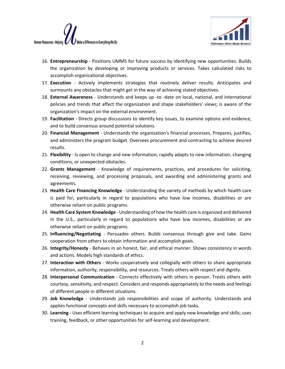



- 16. **Entrepreneurship** Positions UMMS for future success by identifying new opportunities. Builds the organization by developing or improving products or services. Takes calculated risks to accomplish organizational objectives.
- 17. **Execution** Actively implements strategies that routinely deliver results. Anticipates and surmounts any obstacles that might get in the way of achieving stated objectives.
- 18. **External Awareness** Understands and keeps up -to -date on local, national, and international policies and trends that affect the organization and shape stakeholders' views; is aware of the organization's impact on the external environment.
- 19. **Facilitation** Directs group discussions to identify key issues, to examine options and evidence, and to build consensus around potential solutions.
- 20. **Financial Management** Understands the organization's financial processes. Prepares, justifies, and administers the program budget. Oversees procurement and contracting to achieve desired results.
- 21. **Flexibility** Is open to change and new information; rapidly adapts to new information, changing conditions, or unexpected obstacles.
- 22. **Grants Management** Knowledge of requirements, practices, and procedures for soliciting, receiving, reviewing, and processing proposals, and awarding and administering grants and agreements.
- 23. **Health Care Financing Knowledge** Understanding the variety of methods by which health care is paid for, particularly in regard to populations who have low incomes, disabilities or are otherwise reliant on public programs.
- 24. **Health Care System Knowledge** Understanding of how the health care is organized and delivered in the U.S., particularly in regard to populations who have low incomes, disabilities or are otherwise reliant on public programs.
- 25. **Influencing/Negotiating** Persuades others. Builds consensus through give and take. Gains cooperation from others to obtain information and accomplish goals.
- 26. **Integrity/Honesty** Behaves in an honest, fair, and ethical manner. Shows consistency in words and actions. Models high standards of ethics.
- 27. **Interaction with Others** Works cooperatively and collegially with others to share appropriate information, authority, responsibility, and resources. Treats others with respect and dignity.
- 28. **Interpersonal Communication** Connects effectively with others in person. Treats others with courtesy, sensitivity, and respect. Considers and responds appropriately to the needs and feelings of different people in different situations.
- 29. **Job Knowledge** Understands job responsibilities and scope of authority. Understands and applies functional concepts and skills necessary to accomplish job tasks.
- 30. **Learning -** Uses efficient learning techniques to acquire and apply new knowledge and skills; uses training, feedback, or other opportunities for self-learning and development.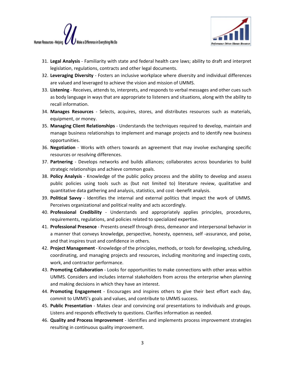



- 31. **Legal Analysis** Familiarity with state and federal health care laws; ability to draft and interpret legislation, regulations, contracts and other legal documents.
- 32. **Leveraging Diversity** Fosters an inclusive workplace where diversity and individual differences are valued and leveraged to achieve the vision and mission of UMMS.
- 33. **Listening** Receives, attends to, interprets, and responds to verbal messages and other cues such as body language in ways that are appropriate to listeners and situations, along with the ability to recall information.
- 34. **Manages Resources** Selects, acquires, stores, and distributes resources such as materials, equipment, or money.
- 35. **Managing Client Relationships** Understands the techniques required to develop, maintain and manage business relationships to implement and manage projects and to identify new business opportunities.
- 36. **Negotiation** Works with others towards an agreement that may involve exchanging specific resources or resolving differences.
- 37. **Partnering** Develops networks and builds alliances; collaborates across boundaries to build strategic relationships and achieve common goals.
- 38. **Policy Analysis** Knowledge of the public policy process and the ability to develop and assess public policies using tools such as (but not limited to) literature review, qualitative and quantitative data gathering and analysis, statistics, and cost -benefit analysis.
- 39. **Political Savvy** Identifies the internal and external politics that impact the work of UMMS. Perceives organizational and political reality and acts accordingly.
- 40. **Professional Credibility** Understands and appropriately applies principles, procedures, requirements, regulations, and policies related to specialized expertise.
- 41. **Professional Presence** Presents oneself through dress, demeanor and interpersonal behavior in a manner that conveys knowledge, perspective, honesty, openness, self -assurance, and poise, and that inspires trust and confidence in others.
- 42. **Project Management** Knowledge of the principles, methods, or tools for developing, scheduling, coordinating, and managing projects and resources, including monitoring and inspecting costs, work, and contractor performance.
- 43. **Promoting Collaboration** Looks for opportunities to make connections with other areas within UMMS. Considers and includes internal stakeholders from across the enterprise when planning and making decisions in which they have an interest.
- 44. **Promoting Engagement** Encourages and inspires others to give their best effort each day, commit to UMMS's goals and values, and contribute to UMMS success.
- 45. **Public Presentation** Makes clear and convincing oral presentations to individuals and groups. Listens and responds effectively to questions. Clarifies information as needed.
- 46. **Quality and Process Improvement** Identifies and implements process improvement strategies resulting in continuous quality improvement.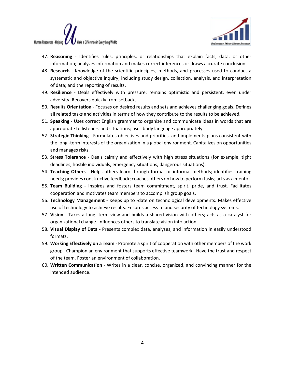



- 47. **Reasoning** Identifies rules, principles, or relationships that explain facts, data, or other information; analyzes information and makes correct inferences or draws accurate conclusions.
- 48. **Research -** Knowledge of the scientific principles, methods, and processes used to conduct a systematic and objective inquiry; including study design, collection, analysis, and interpretation of data; and the reporting of results.
- 49. **Resilience** Deals effectively with pressure; remains optimistic and persistent, even under adversity. Recovers quickly from setbacks.
- 50. **Results Orientation** Focuses on desired results and sets and achieves challenging goals. Defines all related tasks and activities in terms of how they contribute to the results to be achieved.
- 51. **Speaking** Uses correct English grammar to organize and communicate ideas in words that are appropriate to listeners and situations; uses body language appropriately.
- 52. **Strategic Thinking** Formulates objectives and priorities, and implements plans consistent with the long -term interests of the organization in a global environment. Capitalizes on opportunities and manages risks.
- 53. **Stress Tolerance** Deals calmly and effectively with high stress situations (for example, tight deadlines, hostile individuals, emergency situations, dangerous situations).
- 54. **Teaching Others** Helps others learn through formal or informal methods; identifies training needs; provides constructive feedback; coaches others on how to perform tasks; acts as a mentor.
- 55. **Team Building** Inspires and fosters team commitment, spirit, pride, and trust. Facilitates cooperation and motivates team members to accomplish group goals.
- 56. **Technology Management** Keeps up to -date on technological developments. Makes effective use of technology to achieve results. Ensures access to and security of technology systems.
- 57. **Vision** Takes a long -term view and builds a shared vision with others; acts as a catalyst for organizational change. Influences others to translate vision into action.
- 58. **Visual Display of Data** Presents complex data, analyses, and information in easily understood formats.
- 59. **Working Effectively on a Team** Promote a spirit of cooperation with other members of the work group. Champion an environment that supports effective teamwork. Have the trust and respect of the team. Foster an environment of collaboration.
- 60. **Written Communication** Writes in a clear, concise, organized, and convincing manner for the intended audience.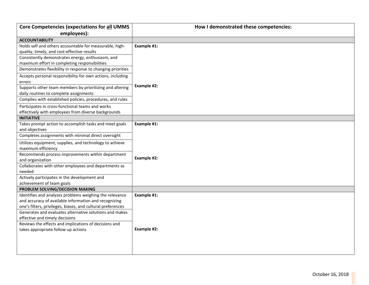| Core Competencies (expectations for all UMMS                         | How I demonstrated these competencies: |
|----------------------------------------------------------------------|----------------------------------------|
| employees):                                                          |                                        |
| <b>ACCOUNTABILITY</b>                                                |                                        |
| Holds self and others accountable for measurable, high-              | Example #1:                            |
| quality, timely, and cost-effective results                          |                                        |
| Consistently demonstrates energy, enthusiasm, and                    |                                        |
| maximum effort in completing responsibilities                        |                                        |
| Demonstrates flexibility in response to changing priorities          |                                        |
| Accepts personal responsibility for own actions, including<br>errors |                                        |
| Supports other team members by prioritizing and altering             | Example #2:                            |
| daily routines to complete assignments                               |                                        |
| Complies with established policies, procedures, and rules            |                                        |
| Participates in cross-functional teams and works                     |                                        |
| effectively with employees from diverse backgrounds                  |                                        |
| <b>INITIATIVE</b>                                                    |                                        |
| Takes prompt action to accomplish tasks and meet goals               | Example #1:                            |
| and objectives                                                       |                                        |
| Completes assignments with minimal direct oversight                  |                                        |
| Utilizes equipment, supplies, and technology to achieve              |                                        |
| maximum efficiency                                                   |                                        |
| Recommends process improvements within department                    | Example #2:                            |
| and organization                                                     |                                        |
| Collaborates with other employees and departments as<br>needed       |                                        |
| Actively participates in the development and                         |                                        |
| achievement of team goals                                            |                                        |
| PROBLEM SOLVING/DECISION MAKING                                      |                                        |
| Identifies and analyzes problems weighing the relevance              | Example #1:                            |
| and accuracy of available information and recognizing                |                                        |
| one's filters, privileges, biases, and cultural preferences          |                                        |
| Generates and evaluates alternative solutions and makes              |                                        |
| effective and timely decisions                                       |                                        |
| Reviews the effects and implications of decisions and                |                                        |
| takes appropriate follow up actions                                  | Example #2:                            |
|                                                                      |                                        |
|                                                                      |                                        |
|                                                                      |                                        |
|                                                                      |                                        |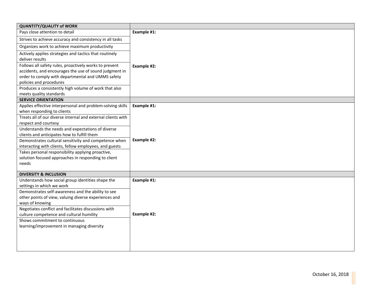| <b>QUANTITY/QUALITY of WORK</b>                              |             |
|--------------------------------------------------------------|-------------|
| Pays close attention to detail                               | Example #1: |
| Strives to achieve accuracy and consistency in all tasks     |             |
| Organizes work to achieve maximum productivity               |             |
| Actively applies strategies and tactics that routinely       |             |
| deliver results                                              |             |
| Follows all safety rules, proactively works to prevent       | Example #2: |
| accidents, and encourages the use of sound judgment in       |             |
| order to comply with departmental and UMMS safety            |             |
| policies and procedures                                      |             |
| Produces a consistently high volume of work that also        |             |
| meets quality standards                                      |             |
| <b>SERVICE ORIENTATION</b>                                   |             |
| Applies effective interpersonal and problem-solving skills   | Example #1: |
| when responding to clients                                   |             |
| Treats all of our diverse internal and external clients with |             |
| respect and courtesy                                         |             |
| Understands the needs and expectations of diverse            |             |
| clients and anticipates how to fulfill them                  | Example #2: |
| Demonstrates cultural sensitivity and competence when        |             |
| interacting with clients, fellow employees, and guests       |             |
| Takes personal responsibility applying proactive,            |             |
| solution focused approaches in responding to client          |             |
| needs                                                        |             |
| <b>DIVERSITY &amp; INCLUSION</b>                             |             |
| Understands how social group identities shape the            | Example #1: |
| settings in which we work                                    |             |
| Demonstrates self-awareness and the ability to see           |             |
| other points of view, valuing diverse experiences and        |             |
| ways of knowing                                              |             |
| Negotiates conflict and facilitates discussions with         |             |
| culture competence and cultural humility                     | Example #2: |
| Shows commitment to continuous                               |             |
| learning/improvement in managing diversity                   |             |
|                                                              |             |
|                                                              |             |
|                                                              |             |
|                                                              |             |